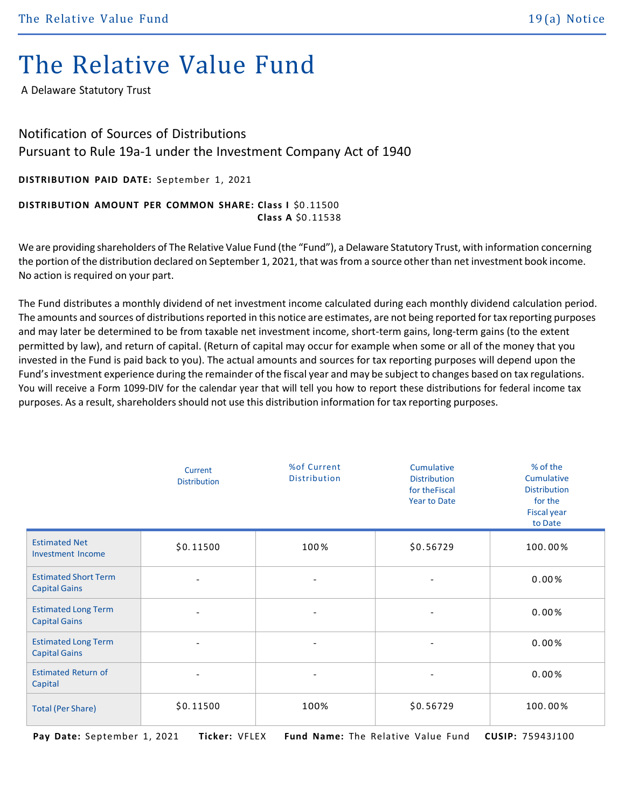## The Relative Value Fund

A Delaware Statutory Trust

## Notification of Sources of Distributions Pursuant to Rule 19a-1 under the Investment Company Act of 1940

**DISTRIBUTION PAID DATE:** September 1, 2021

## **DISTRIBUTION AMOUNT PER COMMON SHARE: Class I** \$0 .11500 **Class A** \$0 .11538

We are providing shareholders of The Relative Value Fund (the "Fund"), a Delaware Statutory Trust, with information concerning the portion of the distribution declared on September 1, 2021, that wasfrom a source other than net investment book income. No action is required on your part.

The Fund distributes a monthly dividend of net investment income calculated during each monthly dividend calculation period. The amounts and sources of distributions reported in this notice are estimates, are not being reported for tax reporting purposes and may later be determined to be from taxable net investment income, short-term gains, long-term gains (to the extent permitted by law), and return of capital. (Return of capital may occur for example when some or all of the money that you invested in the Fund is paid back to you). The actual amounts and sources for tax reporting purposes will depend upon the Fund'sinvestment experience during the remainder of the fiscal year and may be subject to changes based on tax regulations. You will receive a Form 1099-DIV for the calendar year that will tell you how to report these distributions for federal income tax purposes. As a result, shareholders should not use this distribution information for tax reporting purposes.

|                                                     | Current<br><b>Distribution</b> | %of Current<br>Distribution | Cumulative<br><b>Distribution</b><br>for the Fiscal<br><b>Year to Date</b> | % of the<br>Cumulative<br><b>Distribution</b><br>for the<br><b>Fiscal year</b><br>to Date |
|-----------------------------------------------------|--------------------------------|-----------------------------|----------------------------------------------------------------------------|-------------------------------------------------------------------------------------------|
| <b>Estimated Net</b><br><b>Investment Income</b>    | \$0.11500                      | 100%                        | \$0.56729                                                                  | 100.00%                                                                                   |
| <b>Estimated Short Term</b><br><b>Capital Gains</b> | $\overline{\phantom{a}}$       | $\overline{\phantom{a}}$    | $\overline{\phantom{a}}$                                                   | 0.00%                                                                                     |
| <b>Estimated Long Term</b><br><b>Capital Gains</b>  | $\overline{\phantom{a}}$       | $\overline{\phantom{a}}$    | $\overline{\phantom{a}}$                                                   | 0.00%                                                                                     |
| <b>Estimated Long Term</b><br><b>Capital Gains</b>  | $\overline{\phantom{a}}$       | $\overline{a}$              | $\overline{\phantom{a}}$                                                   | 0.00%                                                                                     |
| <b>Estimated Return of</b><br>Capital               | $\overline{\phantom{a}}$       | $\overline{\phantom{a}}$    | $\overline{\phantom{a}}$                                                   | 0.00%                                                                                     |
| <b>Total (Per Share)</b>                            | \$0.11500                      | 100%                        | \$0.56729                                                                  | 100.00%                                                                                   |

 **Pay Date:** September 1, 2021 **Ticker:** VFLEX **Fund Name:** The Relative Value Fund **CUSIP:** 75943J100